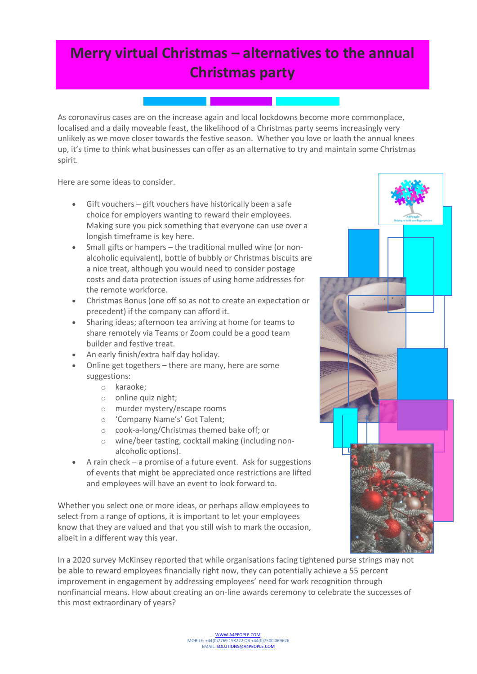## **Merry virtual Christmas – alternatives to the annual Christmas party**

As coronavirus cases are on the increase again and local lockdowns become more commonplace, localised and a daily moveable feast, the likelihood of a Christmas party seems increasingly very unlikely as we move closer towards the festive season. Whether you love or loath the annual knees up, it's time to think what businesses can offer as an alternative to try and maintain some Christmas spirit.

Here are some ideas to consider.

- Gift vouchers gift vouchers have historically been a safe choice for employers wanting to reward their employees. Making sure you pick something that everyone can use over a longish timeframe is key here.
- Small gifts or hampers the traditional mulled wine (or nonalcoholic equivalent), bottle of bubbly or Christmas biscuits are a nice treat, although you would need to consider postage costs and data protection issues of using home addresses for the remote workforce.
- Christmas Bonus (one off so as not to create an expectation or precedent) if the company can afford it.
- Sharing ideas; afternoon tea arriving at home for teams to share remotely via Teams or Zoom could be a good team builder and festive treat.
- An early finish/extra half day holiday.
- Online get togethers there are many, here are some suggestions:
	- o karaoke;
	- o online quiz night;
	- o murder mystery/escape rooms
	- o 'Company Name's' Got Talent;
	- o cook-a-long/Christmas themed bake off; or
	- o wine/beer tasting, cocktail making (including nonalcoholic options).
- A rain check a promise of a future event. Ask for suggestions of events that might be appreciated once restrictions are lifted and employees will have an event to look forward to.

Whether you select one or more ideas, or perhaps allow employees to select from a range of options, it is important to let your employees know that they are valued and that you still wish to mark the occasion, albeit in a different way this year.

In a 2020 survey McKinsey reported that while organisations facing tightened purse strings may not be able to reward employees financially right now, they can potentially achieve a 55 percent improvement in engagement by addressing employees' need for work recognition through nonfinancial means. How about creating an on-line awards ceremony to celebrate the successes of this most extraordinary of years?